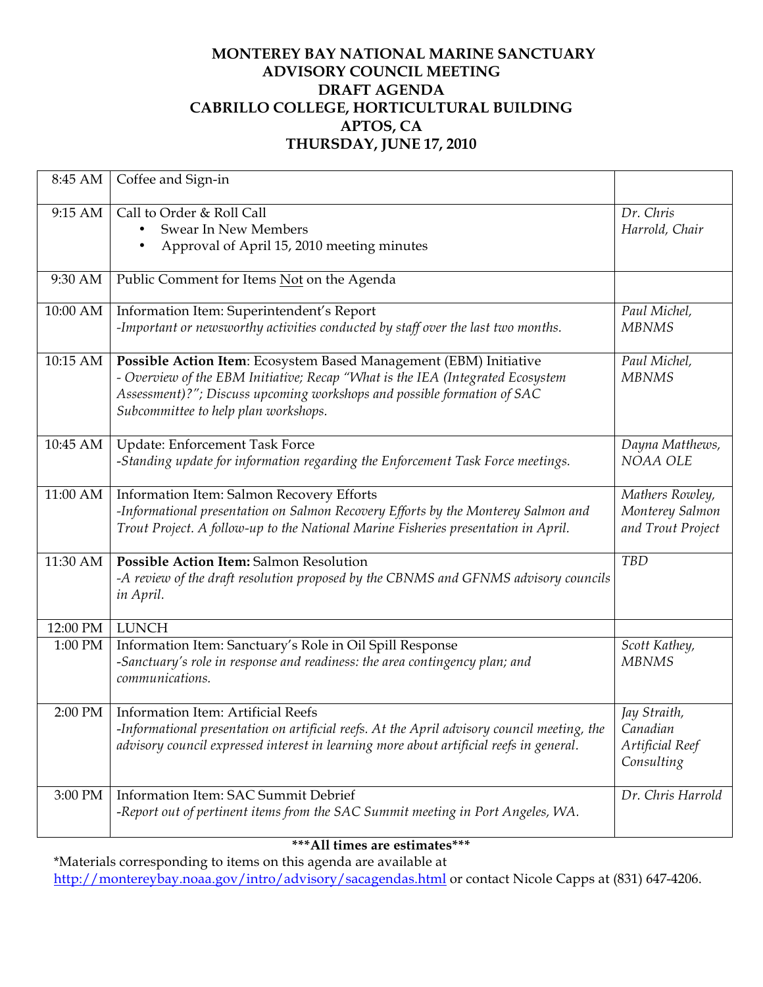## **MONTEREY BAY NATIONAL MARINE SANCTUARY ADVISORY COUNCIL MEETING DRAFT AGENDA CABRILLO COLLEGE, HORTICULTURAL BUILDING APTOS, CA THURSDAY, JUNE 17, 2010**

| 8:45 AM  | Coffee and Sign-in                                                                                                                                                                                                                                                     |                                                           |
|----------|------------------------------------------------------------------------------------------------------------------------------------------------------------------------------------------------------------------------------------------------------------------------|-----------------------------------------------------------|
| 9:15 AM  | Call to Order & Roll Call<br><b>Swear In New Members</b><br>٠<br>Approval of April 15, 2010 meeting minutes<br>٠                                                                                                                                                       | Dr. Chris<br>Harrold, Chair                               |
| 9:30 AM  | Public Comment for Items Not on the Agenda                                                                                                                                                                                                                             |                                                           |
| 10:00 AM | Information Item: Superintendent's Report<br>-Important or newsworthy activities conducted by staff over the last two months.                                                                                                                                          | Paul Michel,<br><b>MBNMS</b>                              |
| 10:15 AM | Possible Action Item: Ecosystem Based Management (EBM) Initiative<br>- Overview of the EBM Initiative; Recap "What is the IEA (Integrated Ecosystem<br>Assessment)?"; Discuss upcoming workshops and possible formation of SAC<br>Subcommittee to help plan workshops. | Paul Michel,<br><b>MBNMS</b>                              |
| 10:45 AM | Update: Enforcement Task Force<br>-Standing update for information regarding the Enforcement Task Force meetings.                                                                                                                                                      | Dayna Matthews,<br>NOAA OLE                               |
| 11:00 AM | Information Item: Salmon Recovery Efforts<br>-Informational presentation on Salmon Recovery Efforts by the Monterey Salmon and<br>Trout Project. A follow-up to the National Marine Fisheries presentation in April.                                                   | Mathers Rowley,<br>Monterey Salmon<br>and Trout Project   |
| 11:30 AM | Possible Action Item: Salmon Resolution<br>-A review of the draft resolution proposed by the CBNMS and GFNMS advisory councils<br>in April.                                                                                                                            | <b>TBD</b>                                                |
| 12:00 PM | <b>LUNCH</b>                                                                                                                                                                                                                                                           |                                                           |
| 1:00 PM  | Information Item: Sanctuary's Role in Oil Spill Response<br>-Sanctuary's role in response and readiness: the area contingency plan; and<br>communications.                                                                                                             | Scott Kathey,<br><b>MBNMS</b>                             |
| 2:00 PM  | Information Item: Artificial Reefs<br>-Informational presentation on artificial reefs. At the April advisory council meeting, the<br>advisory council expressed interest in learning more about artificial reefs in general.                                           | Jay Straith,<br>Canadian<br>Artificial Reef<br>Consulting |
| 3:00 PM  | Information Item: SAC Summit Debrief<br>-Report out of pertinent items from the SAC Summit meeting in Port Angeles, WA.                                                                                                                                                | Dr. Chris Harrold                                         |

## **\*\*\*All times are estimates\*\*\***

\*Materials corresponding to items on this agenda are available at http://montereybay.noaa.gov/intro/advisory/sacagendas.html or contact Nicole Capps at (831) 647-4206.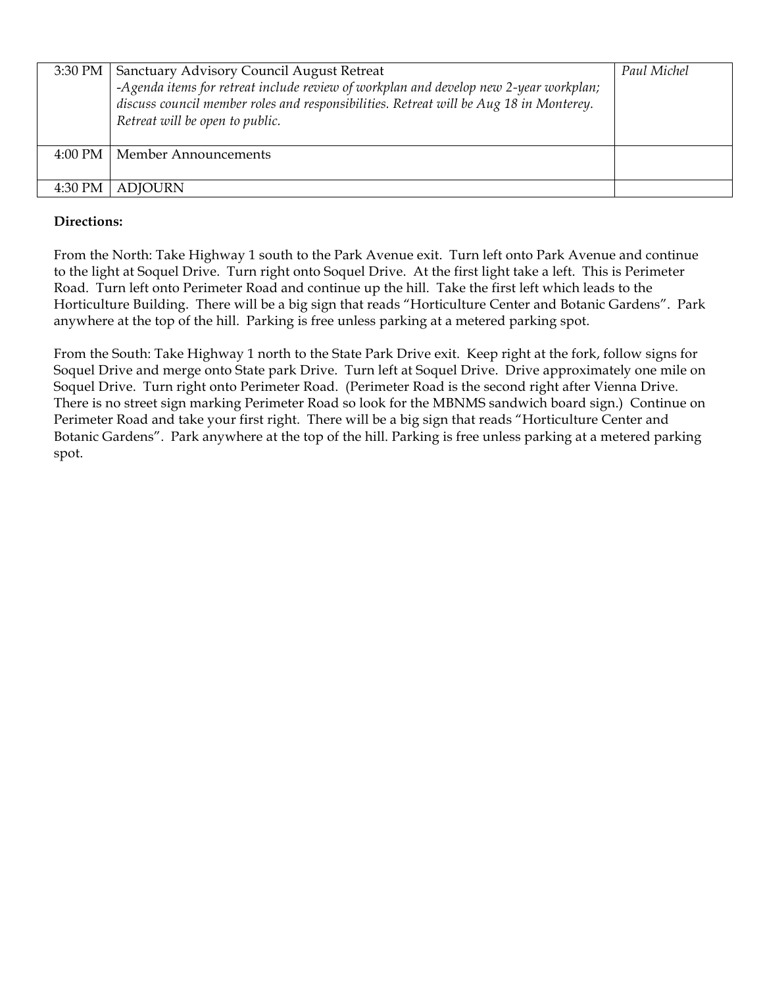| 3:30 PM           | <b>Sanctuary Advisory Council August Retreat</b><br>-Agenda items for retreat include review of workplan and develop new 2-year workplan;<br>discuss council member roles and responsibilities. Retreat will be Aug 18 in Monterey.<br>Retreat will be open to public. | Paul Michel |
|-------------------|------------------------------------------------------------------------------------------------------------------------------------------------------------------------------------------------------------------------------------------------------------------------|-------------|
| $4:00 \text{ PM}$ | Member Announcements                                                                                                                                                                                                                                                   |             |
| 4:30 PM           | <b>ADJOURN</b>                                                                                                                                                                                                                                                         |             |

## **Directions:**

From the North: Take Highway 1 south to the Park Avenue exit. Turn left onto Park Avenue and continue to the light at Soquel Drive. Turn right onto Soquel Drive. At the first light take a left. This is Perimeter Road. Turn left onto Perimeter Road and continue up the hill. Take the first left which leads to the Horticulture Building. There will be a big sign that reads "Horticulture Center and Botanic Gardens". Park anywhere at the top of the hill. Parking is free unless parking at a metered parking spot.

From the South: Take Highway 1 north to the State Park Drive exit. Keep right at the fork, follow signs for Soquel Drive and merge onto State park Drive. Turn left at Soquel Drive. Drive approximately one mile on Soquel Drive. Turn right onto Perimeter Road. (Perimeter Road is the second right after Vienna Drive. There is no street sign marking Perimeter Road so look for the MBNMS sandwich board sign.) Continue on Perimeter Road and take your first right. There will be a big sign that reads "Horticulture Center and Botanic Gardens". Park anywhere at the top of the hill. Parking is free unless parking at a metered parking spot.